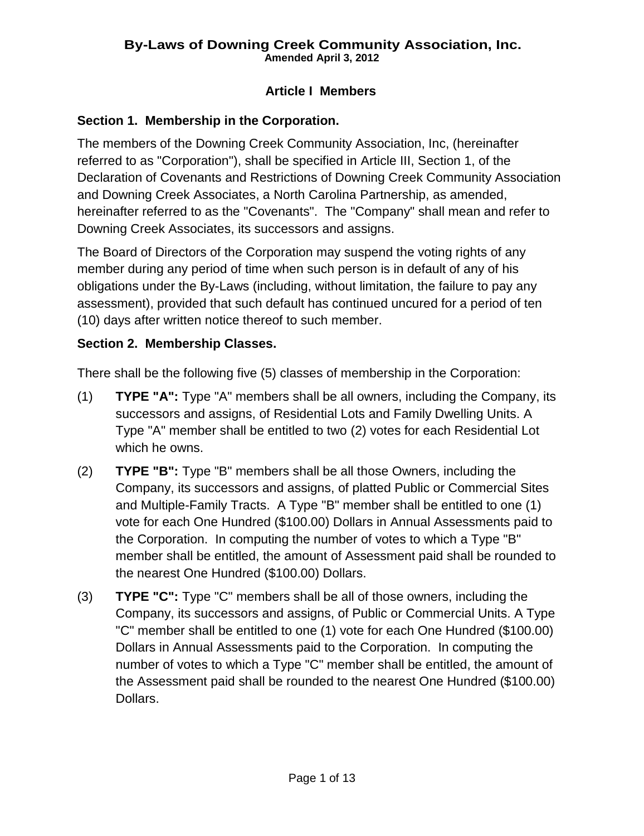# **Article I Members**

# **Section 1. Membership in the Corporation.**

The members of the Downing Creek Community Association, Inc, (hereinafter referred to as "Corporation"), shall be specified in Article III, Section 1, of the Declaration of Covenants and Restrictions of Downing Creek Community Association and Downing Creek Associates, a North Carolina Partnership, as amended, hereinafter referred to as the "Covenants". The "Company" shall mean and refer to Downing Creek Associates, its successors and assigns.

The Board of Directors of the Corporation may suspend the voting rights of any member during any period of time when such person is in default of any of his obligations under the By-Laws (including, without limitation, the failure to pay any assessment), provided that such default has continued uncured for a period of ten (10) days after written notice thereof to such member.

# **Section 2. Membership Classes.**

There shall be the following five (5) classes of membership in the Corporation:

- (1) **TYPE "A":** Type "A" members shall be all owners, including the Company, its successors and assigns, of Residential Lots and Family Dwelling Units. A Type "A" member shall be entitled to two (2) votes for each Residential Lot which he owns.
- (2) **TYPE "B":** Type "B" members shall be all those Owners, including the Company, its successors and assigns, of platted Public or Commercial Sites and Multiple-Family Tracts. A Type "B" member shall be entitled to one (1) vote for each One Hundred (\$100.00) Dollars in Annual Assessments paid to the Corporation. In computing the number of votes to which a Type "B" member shall be entitled, the amount of Assessment paid shall be rounded to the nearest One Hundred (\$100.00) Dollars.
- (3) **TYPE "C":** Type "C" members shall be all of those owners, including the Company, its successors and assigns, of Public or Commercial Units. A Type "C" member shall be entitled to one (1) vote for each One Hundred (\$100.00) Dollars in Annual Assessments paid to the Corporation. In computing the number of votes to which a Type "C" member shall be entitled, the amount of the Assessment paid shall be rounded to the nearest One Hundred (\$100.00) Dollars.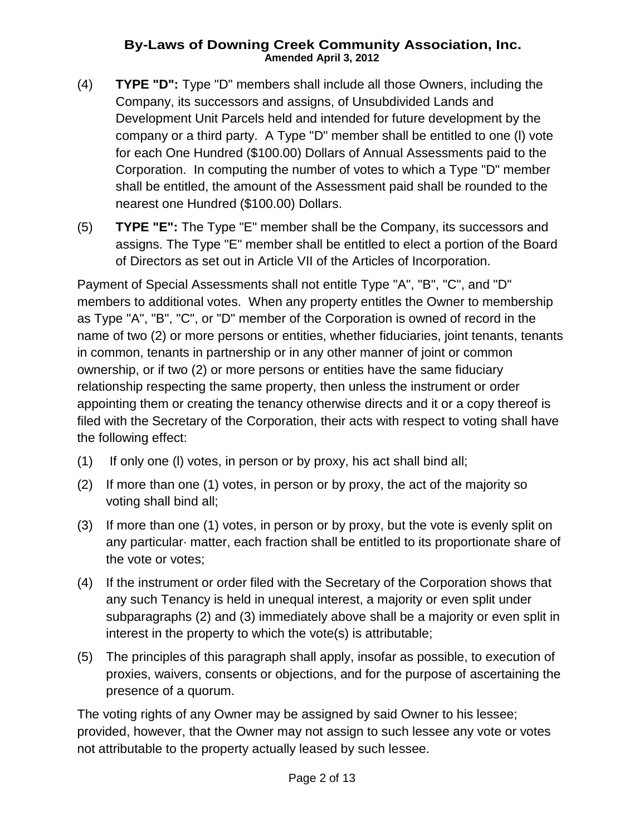- (4) **TYPE "D":** Type "D" members shall include all those Owners, including the Company, its successors and assigns, of Unsubdivided Lands and Development Unit Parcels held and intended for future development by the company or a third party. A Type "D" member shall be entitled to one (l) vote for each One Hundred (\$100.00) Dollars of Annual Assessments paid to the Corporation. In computing the number of votes to which a Type "D" member shall be entitled, the amount of the Assessment paid shall be rounded to the nearest one Hundred (\$100.00) Dollars.
- (5) **TYPE "E":** The Type "E" member shall be the Company, its successors and assigns. The Type "E" member shall be entitled to elect a portion of the Board of Directors as set out in Article VII of the Articles of Incorporation.

Payment of Special Assessments shall not entitle Type "A", "B", "C", and "D" members to additional votes. When any property entitles the Owner to membership as Type "A", "B", "C", or "D" member of the Corporation is owned of record in the name of two (2) or more persons or entities, whether fiduciaries, joint tenants, tenants in common, tenants in partnership or in any other manner of joint or common ownership, or if two (2) or more persons or entities have the same fiduciary relationship respecting the same property, then unless the instrument or order appointing them or creating the tenancy otherwise directs and it or a copy thereof is filed with the Secretary of the Corporation, their acts with respect to voting shall have the following effect:

- (1) If only one (l) votes, in person or by proxy, his act shall bind all;
- (2) If more than one (1) votes, in person or by proxy, the act of the majority so voting shall bind all;
- (3) If more than one (1) votes, in person or by proxy, but the vote is evenly split on any particular· matter, each fraction shall be entitled to its proportionate share of the vote or votes;
- (4) If the instrument or order filed with the Secretary of the Corporation shows that any such Tenancy is held in unequal interest, a majority or even split under subparagraphs (2) and (3) immediately above shall be a majority or even split in interest in the property to which the vote(s) is attributable;
- (5) The principles of this paragraph shall apply, insofar as possible, to execution of proxies, waivers, consents or objections, and for the purpose of ascertaining the presence of a quorum.

The voting rights of any Owner may be assigned by said Owner to his lessee; provided, however, that the Owner may not assign to such lessee any vote or votes not attributable to the property actually leased by such lessee.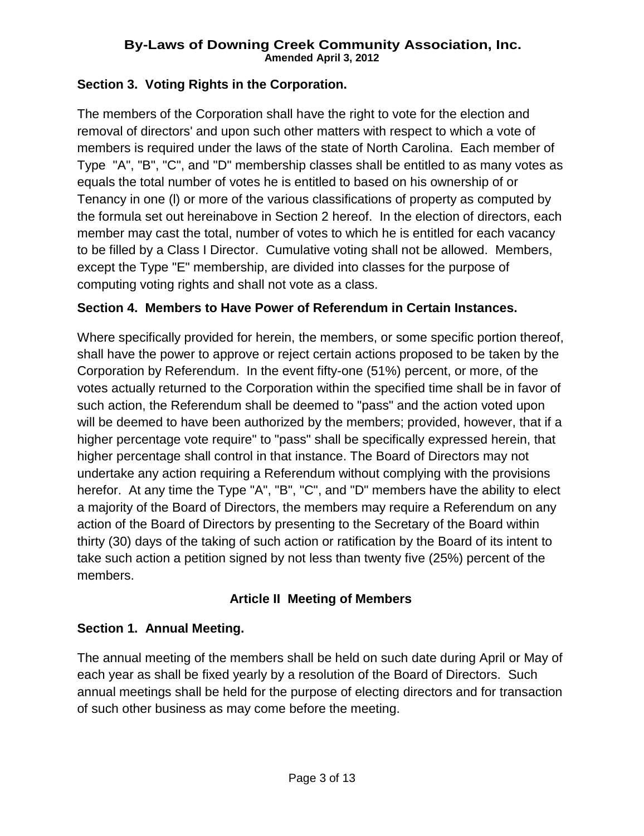### **Section 3. Voting Rights in the Corporation.**

The members of the Corporation shall have the right to vote for the election and removal of directors' and upon such other matters with respect to which a vote of members is required under the laws of the state of North Carolina. Each member of Type "A", "B", "C", and "D" membership classes shall be entitled to as many votes as equals the total number of votes he is entitled to based on his ownership of or Tenancy in one (l) or more of the various classifications of property as computed by the formula set out hereinabove in Section 2 hereof. In the election of directors, each member may cast the total, number of votes to which he is entitled for each vacancy to be filled by a Class I Director. Cumulative voting shall not be allowed. Members, except the Type "E" membership, are divided into classes for the purpose of computing voting rights and shall not vote as a class.

### **Section 4. Members to Have Power of Referendum in Certain Instances.**

Where specifically provided for herein, the members, or some specific portion thereof, shall have the power to approve or reject certain actions proposed to be taken by the Corporation by Referendum. In the event fifty-one (51%) percent, or more, of the votes actually returned to the Corporation within the specified time shall be in favor of such action, the Referendum shall be deemed to "pass" and the action voted upon will be deemed to have been authorized by the members; provided, however, that if a higher percentage vote require" to "pass" shall be specifically expressed herein, that higher percentage shall control in that instance. The Board of Directors may not undertake any action requiring a Referendum without complying with the provisions herefor. At any time the Type "A", "B", "C", and "D" members have the ability to elect a majority of the Board of Directors, the members may require a Referendum on any action of the Board of Directors by presenting to the Secretary of the Board within thirty (30) days of the taking of such action or ratification by the Board of its intent to take such action a petition signed by not less than twenty five (25%) percent of the members.

#### **Article II Meeting of Members**

#### **Section 1. Annual Meeting.**

The annual meeting of the members shall be held on such date during April or May of each year as shall be fixed yearly by a resolution of the Board of Directors. Such annual meetings shall be held for the purpose of electing directors and for transaction of such other business as may come before the meeting.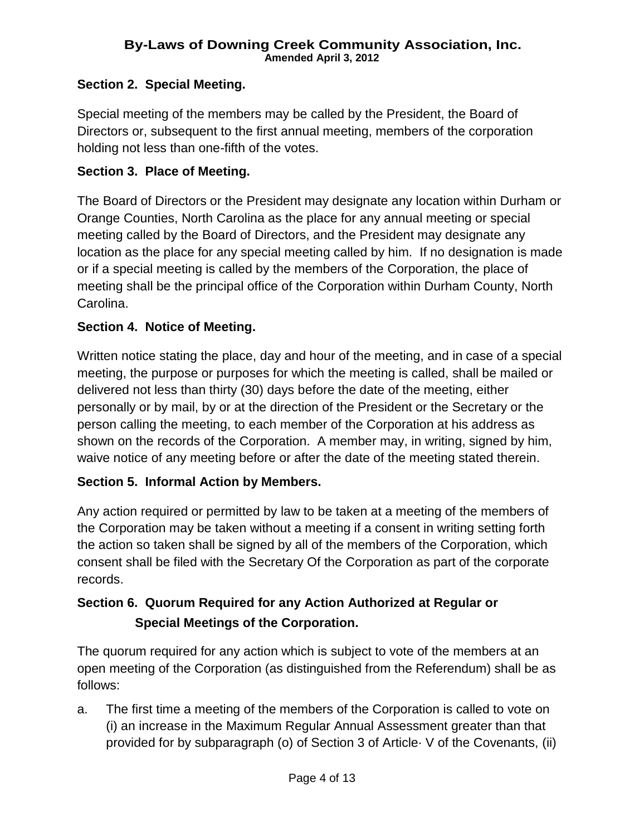### **Section 2. Special Meeting.**

Special meeting of the members may be called by the President, the Board of Directors or, subsequent to the first annual meeting, members of the corporation holding not less than one-fifth of the votes.

#### **Section 3. Place of Meeting.**

The Board of Directors or the President may designate any location within Durham or Orange Counties, North Carolina as the place for any annual meeting or special meeting called by the Board of Directors, and the President may designate any location as the place for any special meeting called by him. If no designation is made or if a special meeting is called by the members of the Corporation, the place of meeting shall be the principal office of the Corporation within Durham County, North Carolina.

### **Section 4. Notice of Meeting.**

Written notice stating the place, day and hour of the meeting, and in case of a special meeting, the purpose or purposes for which the meeting is called, shall be mailed or delivered not less than thirty (30) days before the date of the meeting, either personally or by mail, by or at the direction of the President or the Secretary or the person calling the meeting, to each member of the Corporation at his address as shown on the records of the Corporation. A member may, in writing, signed by him, waive notice of any meeting before or after the date of the meeting stated therein.

# **Section 5. Informal Action by Members.**

Any action required or permitted by law to be taken at a meeting of the members of the Corporation may be taken without a meeting if a consent in writing setting forth the action so taken shall be signed by all of the members of the Corporation, which consent shall be filed with the Secretary Of the Corporation as part of the corporate records.

# **Section 6. Quorum Required for any Action Authorized at Regular or Special Meetings of the Corporation.**

The quorum required for any action which is subject to vote of the members at an open meeting of the Corporation (as distinguished from the Referendum) shall be as follows:

a. The first time a meeting of the members of the Corporation is called to vote on (i) an increase in the Maximum Regular Annual Assessment greater than that provided for by subparagraph (o) of Section 3 of Article· V of the Covenants, (ii)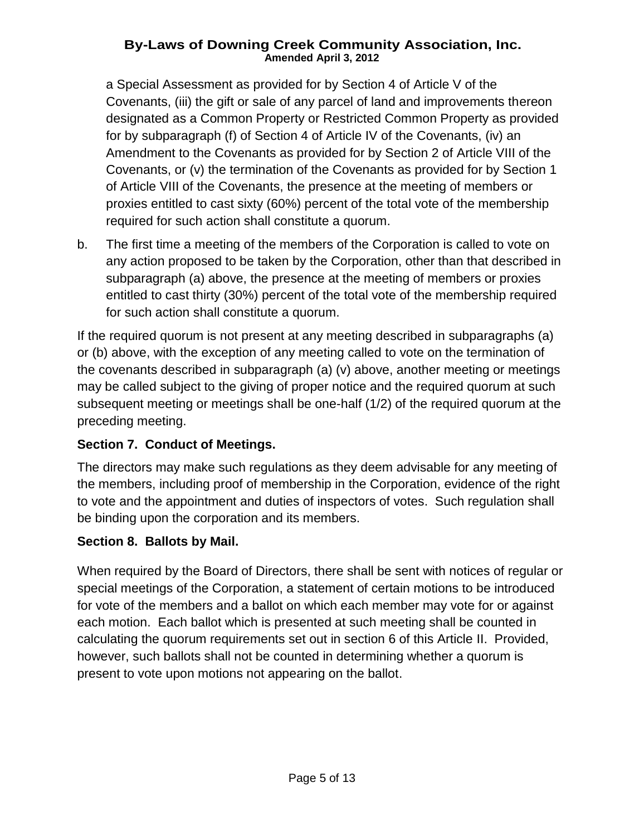a Special Assessment as provided for by Section 4 of Article V of the Covenants, (iii) the gift or sale of any parcel of land and improvements thereon designated as a Common Property or Restricted Common Property as provided for by subparagraph (f) of Section 4 of Article IV of the Covenants, (iv) an Amendment to the Covenants as provided for by Section 2 of Article VIII of the Covenants, or (v) the termination of the Covenants as provided for by Section 1 of Article VIII of the Covenants, the presence at the meeting of members or proxies entitled to cast sixty (60%) percent of the total vote of the membership required for such action shall constitute a quorum.

b. The first time a meeting of the members of the Corporation is called to vote on any action proposed to be taken by the Corporation, other than that described in subparagraph (a) above, the presence at the meeting of members or proxies entitled to cast thirty (30%) percent of the total vote of the membership required for such action shall constitute a quorum.

If the required quorum is not present at any meeting described in subparagraphs (a) or (b) above, with the exception of any meeting called to vote on the termination of the covenants described in subparagraph (a) (v) above, another meeting or meetings may be called subject to the giving of proper notice and the required quorum at such subsequent meeting or meetings shall be one-half (1/2) of the required quorum at the preceding meeting.

# **Section 7. Conduct of Meetings.**

The directors may make such regulations as they deem advisable for any meeting of the members, including proof of membership in the Corporation, evidence of the right to vote and the appointment and duties of inspectors of votes. Such regulation shall be binding upon the corporation and its members.

# **Section 8. Ballots by Mail.**

When required by the Board of Directors, there shall be sent with notices of regular or special meetings of the Corporation, a statement of certain motions to be introduced for vote of the members and a ballot on which each member may vote for or against each motion. Each ballot which is presented at such meeting shall be counted in calculating the quorum requirements set out in section 6 of this Article II. Provided, however, such ballots shall not be counted in determining whether a quorum is present to vote upon motions not appearing on the ballot.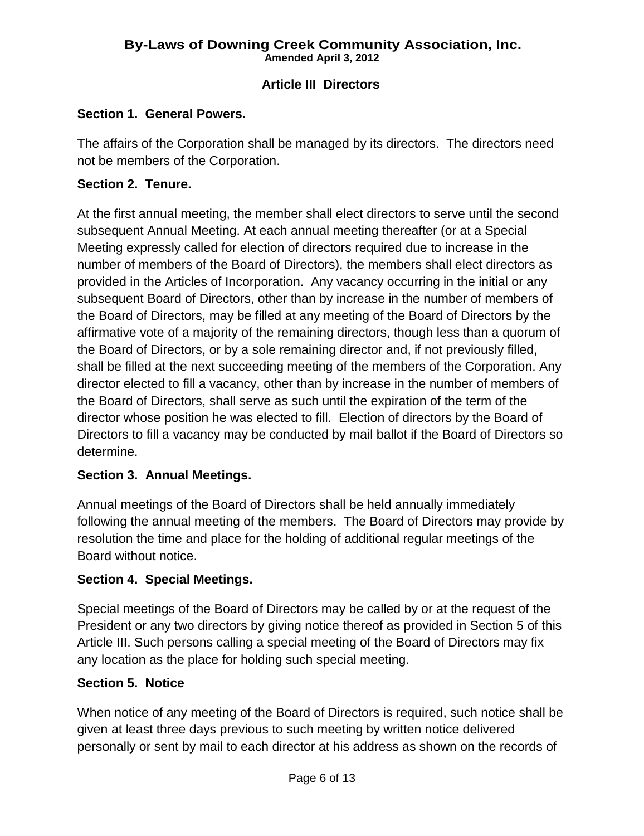# **Article III Directors**

#### **Section 1. General Powers.**

The affairs of the Corporation shall be managed by its directors. The directors need not be members of the Corporation.

#### **Section 2. Tenure.**

At the first annual meeting, the member shall elect directors to serve until the second subsequent Annual Meeting. At each annual meeting thereafter (or at a Special Meeting expressly called for election of directors required due to increase in the number of members of the Board of Directors), the members shall elect directors as provided in the Articles of Incorporation. Any vacancy occurring in the initial or any subsequent Board of Directors, other than by increase in the number of members of the Board of Directors, may be filled at any meeting of the Board of Directors by the affirmative vote of a majority of the remaining directors, though less than a quorum of the Board of Directors, or by a sole remaining director and, if not previously filled, shall be filled at the next succeeding meeting of the members of the Corporation. Any director elected to fill a vacancy, other than by increase in the number of members of the Board of Directors, shall serve as such until the expiration of the term of the director whose position he was elected to fill. Election of directors by the Board of Directors to fill a vacancy may be conducted by mail ballot if the Board of Directors so determine.

#### **Section 3. Annual Meetings.**

Annual meetings of the Board of Directors shall be held annually immediately following the annual meeting of the members. The Board of Directors may provide by resolution the time and place for the holding of additional regular meetings of the Board without notice.

#### **Section 4. Special Meetings.**

Special meetings of the Board of Directors may be called by or at the request of the President or any two directors by giving notice thereof as provided in Section 5 of this Article III. Such persons calling a special meeting of the Board of Directors may fix any location as the place for holding such special meeting.

#### **Section 5. Notice**

When notice of any meeting of the Board of Directors is required, such notice shall be given at least three days previous to such meeting by written notice delivered personally or sent by mail to each director at his address as shown on the records of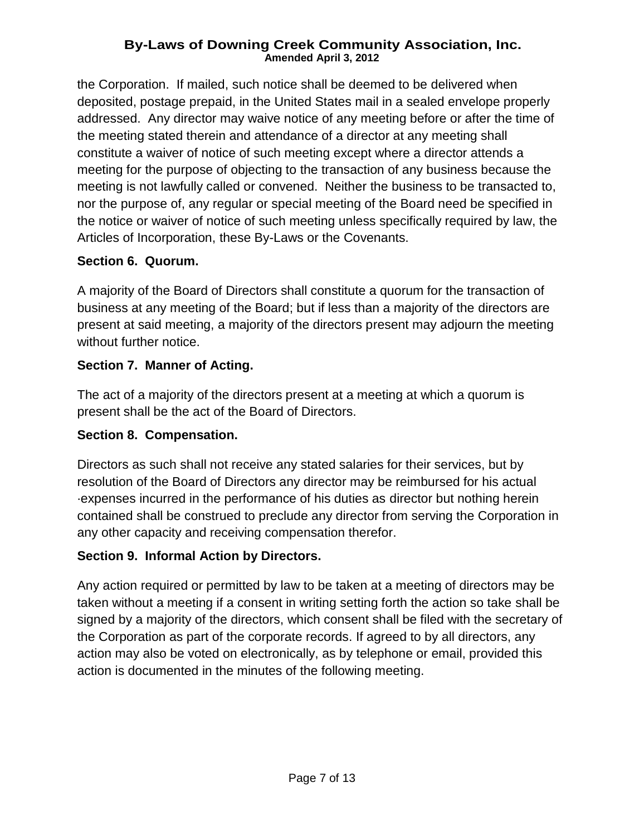the Corporation. If mailed, such notice shall be deemed to be delivered when deposited, postage prepaid, in the United States mail in a sealed envelope properly addressed. Any director may waive notice of any meeting before or after the time of the meeting stated therein and attendance of a director at any meeting shall constitute a waiver of notice of such meeting except where a director attends a meeting for the purpose of objecting to the transaction of any business because the meeting is not lawfully called or convened. Neither the business to be transacted to, nor the purpose of, any regular or special meeting of the Board need be specified in the notice or waiver of notice of such meeting unless specifically required by law, the Articles of Incorporation, these By-Laws or the Covenants.

# **Section 6. Quorum.**

A majority of the Board of Directors shall constitute a quorum for the transaction of business at any meeting of the Board; but if less than a majority of the directors are present at said meeting, a majority of the directors present may adjourn the meeting without further notice.

### **Section 7. Manner of Acting.**

The act of a majority of the directors present at a meeting at which a quorum is present shall be the act of the Board of Directors.

# **Section 8. Compensation.**

Directors as such shall not receive any stated salaries for their services, but by resolution of the Board of Directors any director may be reimbursed for his actual ·expenses incurred in the performance of his duties as director but nothing herein contained shall be construed to preclude any director from serving the Corporation in any other capacity and receiving compensation therefor.

# **Section 9. Informal Action by Directors.**

Any action required or permitted by law to be taken at a meeting of directors may be taken without a meeting if a consent in writing setting forth the action so take shall be signed by a majority of the directors, which consent shall be filed with the secretary of the Corporation as part of the corporate records. If agreed to by all directors, any action may also be voted on electronically, as by telephone or email, provided this action is documented in the minutes of the following meeting.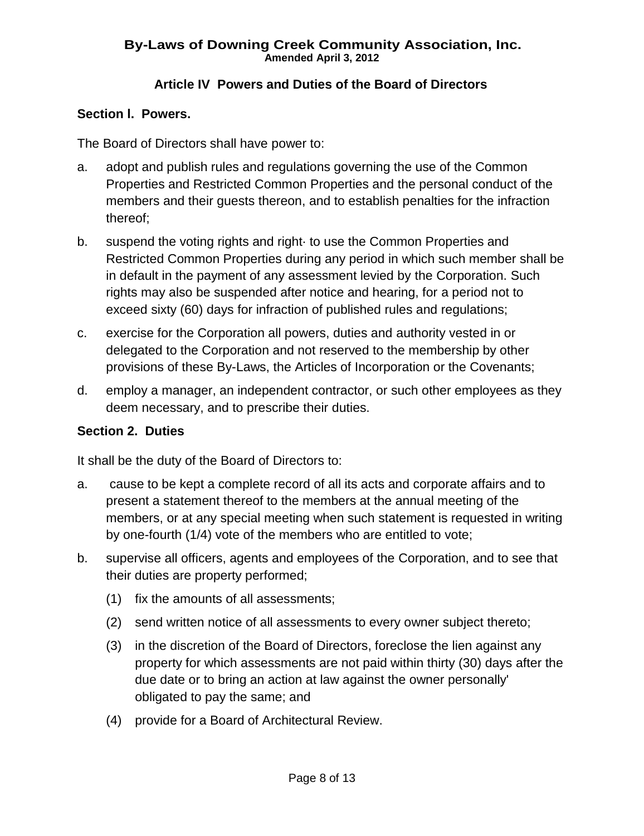# **Article IV Powers and Duties of the Board of Directors**

### **Section l. Powers.**

The Board of Directors shall have power to:

- a. adopt and publish rules and regulations governing the use of the Common Properties and Restricted Common Properties and the personal conduct of the members and their guests thereon, and to establish penalties for the infraction thereof;
- b. suspend the voting rights and right to use the Common Properties and Restricted Common Properties during any period in which such member shall be in default in the payment of any assessment levied by the Corporation. Such rights may also be suspended after notice and hearing, for a period not to exceed sixty (60) days for infraction of published rules and regulations;
- c. exercise for the Corporation all powers, duties and authority vested in or delegated to the Corporation and not reserved to the membership by other provisions of these By-Laws, the Articles of Incorporation or the Covenants;
- d. employ a manager, an independent contractor, or such other employees as they deem necessary, and to prescribe their duties.

# **Section 2. Duties**

It shall be the duty of the Board of Directors to:

- a. cause to be kept a complete record of all its acts and corporate affairs and to present a statement thereof to the members at the annual meeting of the members, or at any special meeting when such statement is requested in writing by one-fourth (1/4) vote of the members who are entitled to vote;
- b. supervise all officers, agents and employees of the Corporation, and to see that their duties are property performed;
	- (1) fix the amounts of all assessments;
	- (2) send written notice of all assessments to every owner subject thereto;
	- (3) in the discretion of the Board of Directors, foreclose the lien against any property for which assessments are not paid within thirty (30) days after the due date or to bring an action at law against the owner personally' obligated to pay the same; and
	- (4) provide for a Board of Architectural Review.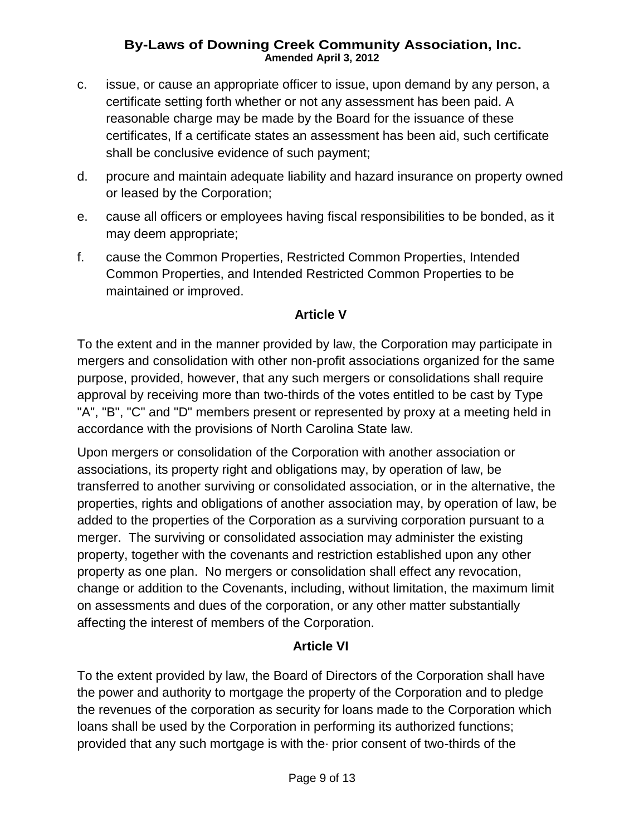- c. issue, or cause an appropriate officer to issue, upon demand by any person, a certificate setting forth whether or not any assessment has been paid. A reasonable charge may be made by the Board for the issuance of these certificates, If a certificate states an assessment has been aid, such certificate shall be conclusive evidence of such payment;
- d. procure and maintain adequate liability and hazard insurance on property owned or leased by the Corporation;
- e. cause all officers or employees having fiscal responsibilities to be bonded, as it may deem appropriate;
- f. cause the Common Properties, Restricted Common Properties, Intended Common Properties, and Intended Restricted Common Properties to be maintained or improved.

### **Article V**

To the extent and in the manner provided by law, the Corporation may participate in mergers and consolidation with other non-profit associations organized for the same purpose, provided, however, that any such mergers or consolidations shall require approval by receiving more than two-thirds of the votes entitled to be cast by Type "A", "B", "C" and "D" members present or represented by proxy at a meeting held in accordance with the provisions of North Carolina State law.

Upon mergers or consolidation of the Corporation with another association or associations, its property right and obligations may, by operation of law, be transferred to another surviving or consolidated association, or in the alternative, the properties, rights and obligations of another association may, by operation of law, be added to the properties of the Corporation as a surviving corporation pursuant to a merger. The surviving or consolidated association may administer the existing property, together with the covenants and restriction established upon any other property as one plan. No mergers or consolidation shall effect any revocation, change or addition to the Covenants, including, without limitation, the maximum limit on assessments and dues of the corporation, or any other matter substantially affecting the interest of members of the Corporation.

# **Article VI**

To the extent provided by law, the Board of Directors of the Corporation shall have the power and authority to mortgage the property of the Corporation and to pledge the revenues of the corporation as security for loans made to the Corporation which loans shall be used by the Corporation in performing its authorized functions; provided that any such mortgage is with the· prior consent of two-thirds of the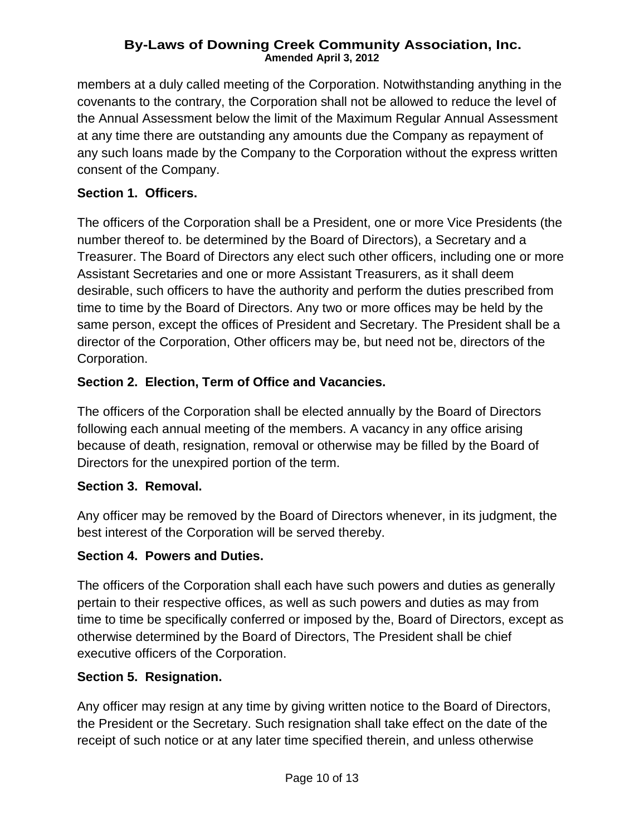members at a duly called meeting of the Corporation. Notwithstanding anything in the covenants to the contrary, the Corporation shall not be allowed to reduce the level of the Annual Assessment below the limit of the Maximum Regular Annual Assessment at any time there are outstanding any amounts due the Company as repayment of any such loans made by the Company to the Corporation without the express written consent of the Company.

# **Section 1. Officers.**

The officers of the Corporation shall be a President, one or more Vice Presidents (the number thereof to. be determined by the Board of Directors), a Secretary and a Treasurer. The Board of Directors any elect such other officers, including one or more Assistant Secretaries and one or more Assistant Treasurers, as it shall deem desirable, such officers to have the authority and perform the duties prescribed from time to time by the Board of Directors. Any two or more offices may be held by the same person, except the offices of President and Secretary. The President shall be a director of the Corporation, Other officers may be, but need not be, directors of the Corporation.

# **Section 2. Election, Term of Office and Vacancies.**

The officers of the Corporation shall be elected annually by the Board of Directors following each annual meeting of the members. A vacancy in any office arising because of death, resignation, removal or otherwise may be filled by the Board of Directors for the unexpired portion of the term.

# **Section 3. Removal.**

Any officer may be removed by the Board of Directors whenever, in its judgment, the best interest of the Corporation will be served thereby.

# **Section 4. Powers and Duties.**

The officers of the Corporation shall each have such powers and duties as generally pertain to their respective offices, as well as such powers and duties as may from time to time be specifically conferred or imposed by the, Board of Directors, except as otherwise determined by the Board of Directors, The President shall be chief executive officers of the Corporation.

# **Section 5. Resignation.**

Any officer may resign at any time by giving written notice to the Board of Directors, the President or the Secretary. Such resignation shall take effect on the date of the receipt of such notice or at any later time specified therein, and unless otherwise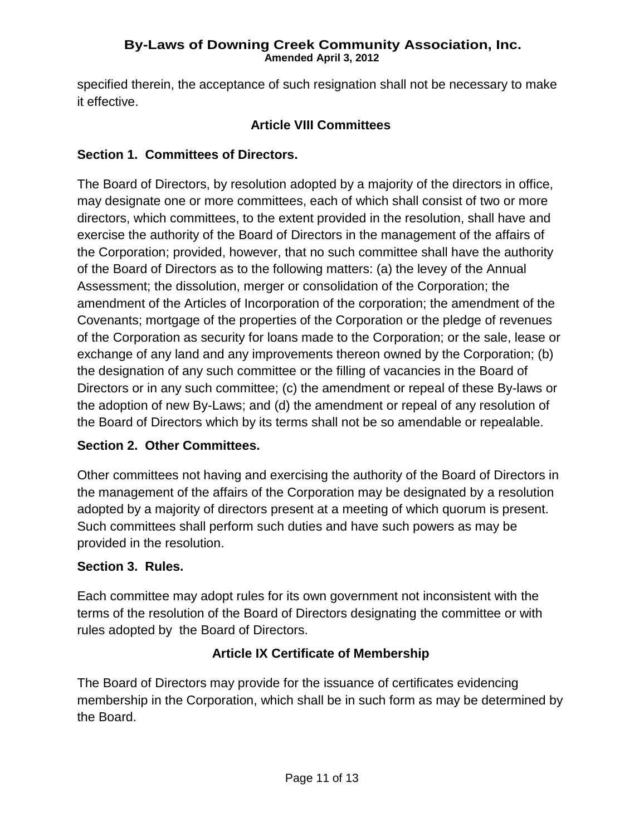specified therein, the acceptance of such resignation shall not be necessary to make it effective.

# **Article VIII Committees**

# **Section 1. Committees of Directors.**

The Board of Directors, by resolution adopted by a majority of the directors in office, may designate one or more committees, each of which shall consist of two or more directors, which committees, to the extent provided in the resolution, shall have and exercise the authority of the Board of Directors in the management of the affairs of the Corporation; provided, however, that no such committee shall have the authority of the Board of Directors as to the following matters: (a) the levey of the Annual Assessment; the dissolution, merger or consolidation of the Corporation; the amendment of the Articles of Incorporation of the corporation; the amendment of the Covenants; mortgage of the properties of the Corporation or the pledge of revenues of the Corporation as security for loans made to the Corporation; or the sale, lease or exchange of any land and any improvements thereon owned by the Corporation; (b) the designation of any such committee or the filling of vacancies in the Board of Directors or in any such committee; (c) the amendment or repeal of these By-laws or the adoption of new By-Laws; and (d) the amendment or repeal of any resolution of the Board of Directors which by its terms shall not be so amendable or repealable.

# **Section 2. Other Committees.**

Other committees not having and exercising the authority of the Board of Directors in the management of the affairs of the Corporation may be designated by a resolution adopted by a majority of directors present at a meeting of which quorum is present. Such committees shall perform such duties and have such powers as may be provided in the resolution.

# **Section 3. Rules.**

Each committee may adopt rules for its own government not inconsistent with the terms of the resolution of the Board of Directors designating the committee or with rules adopted by the Board of Directors.

# **Article IX Certificate of Membership**

The Board of Directors may provide for the issuance of certificates evidencing membership in the Corporation, which shall be in such form as may be determined by the Board.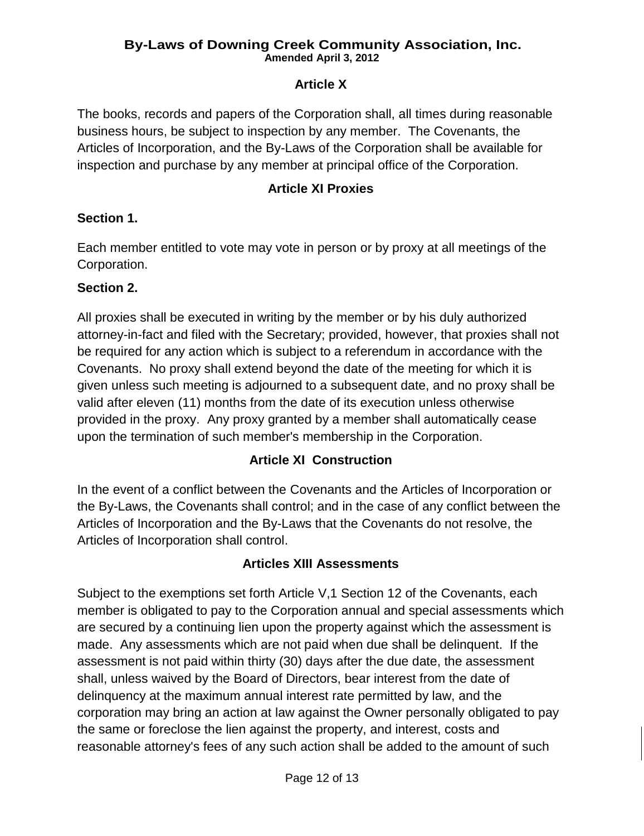# **Article X**

The books, records and papers of the Corporation shall, all times during reasonable business hours, be subject to inspection by any member. The Covenants, the Articles of Incorporation, and the By-Laws of the Corporation shall be available for inspection and purchase by any member at principal office of the Corporation.

#### **Article XI Proxies**

### **Section 1.**

Each member entitled to vote may vote in person or by proxy at all meetings of the Corporation.

### **Section 2.**

All proxies shall be executed in writing by the member or by his duly authorized attorney-in-fact and filed with the Secretary; provided, however, that proxies shall not be required for any action which is subject to a referendum in accordance with the Covenants. No proxy shall extend beyond the date of the meeting for which it is given unless such meeting is adjourned to a subsequent date, and no proxy shall be valid after eleven (11) months from the date of its execution unless otherwise provided in the proxy. Any proxy granted by a member shall automatically cease upon the termination of such member's membership in the Corporation.

# **Article XI Construction**

In the event of a conflict between the Covenants and the Articles of Incorporation or the By-Laws, the Covenants shall control; and in the case of any conflict between the Articles of Incorporation and the By-Laws that the Covenants do not resolve, the Articles of Incorporation shall control.

#### **Articles XIII Assessments**

Subject to the exemptions set forth Article V,1 Section 12 of the Covenants, each member is obligated to pay to the Corporation annual and special assessments which are secured by a continuing lien upon the property against which the assessment is made. Any assessments which are not paid when due shall be delinquent. If the assessment is not paid within thirty (30) days after the due date, the assessment shall, unless waived by the Board of Directors, bear interest from the date of delinquency at the maximum annual interest rate permitted by law, and the corporation may bring an action at law against the Owner personally obligated to pay the same or foreclose the lien against the property, and interest, costs and reasonable attorney's fees of any such action shall be added to the amount of such